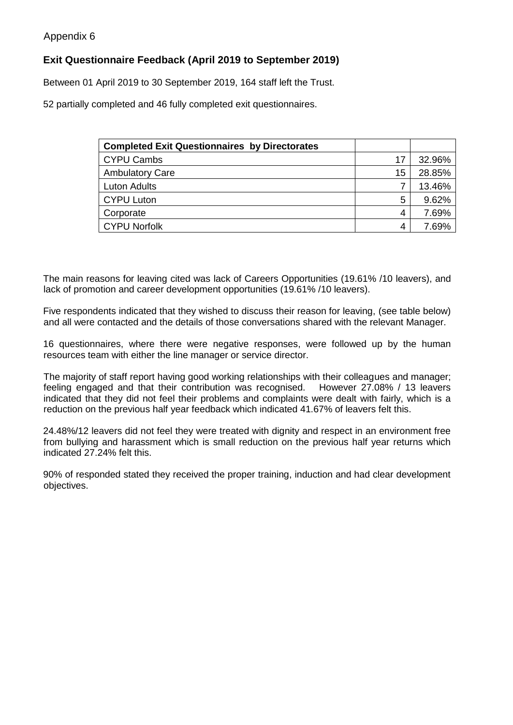## **Exit Questionnaire Feedback (April 2019 to September 2019)**

Between 01 April 2019 to 30 September 2019, 164 staff left the Trust.

52 partially completed and 46 fully completed exit questionnaires.

| <b>Completed Exit Questionnaires by Directorates</b> |    |        |
|------------------------------------------------------|----|--------|
| <b>CYPU Cambs</b>                                    | 17 | 32.96% |
| <b>Ambulatory Care</b>                               | 15 | 28.85% |
| <b>Luton Adults</b>                                  |    | 13.46% |
| <b>CYPU Luton</b>                                    | 5  | 9.62%  |
| Corporate                                            | 4  | 7.69%  |
| <b>CYPU Norfolk</b>                                  | 4  | 7.69%  |

The main reasons for leaving cited was lack of Careers Opportunities (19.61% /10 leavers), and lack of promotion and career development opportunities (19.61% /10 leavers).

Five respondents indicated that they wished to discuss their reason for leaving, (see table below) and all were contacted and the details of those conversations shared with the relevant Manager.

16 questionnaires, where there were negative responses, were followed up by the human resources team with either the line manager or service director.

The majority of staff report having good working relationships with their colleagues and manager; feeling engaged and that their contribution was recognised. However 27.08% / 13 leavers indicated that they did not feel their problems and complaints were dealt with fairly, which is a reduction on the previous half year feedback which indicated 41.67% of leavers felt this.

24.48%/12 leavers did not feel they were treated with dignity and respect in an environment free from bullying and harassment which is small reduction on the previous half year returns which indicated 27.24% felt this.

90% of responded stated they received the proper training, induction and had clear development objectives.